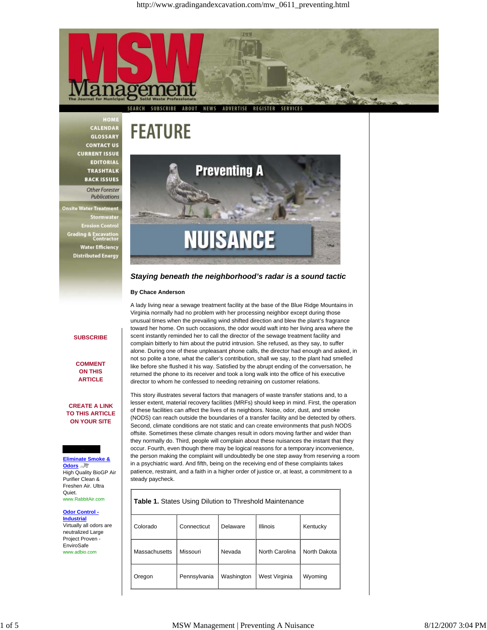

**FEATURE** 

HOME CALENDAR **GLOSSARY CONTACT US CURRENT ISSUE EDITORIAL TRASHTALK BACK ISSUES** 

Other Forester Publications

**Onsite Water Treatment** Stormwate **Frosion Contro Grading & Excavation**<br>Contracto **Water Efficiency Distributed Energy** 

**SUBSCRIBE**

**COMMENT ON THIS ARTICLE**

**CREATE A LINK TO THIS ARTICLE ON YOUR SITE**

**NUISANCE** 

**Preventing A** 

*Staying beneath the neighborhood's radar is a sound tactic*

# **By Chace Anderson**

A lady living near a sewage treatment facility at the base of the Blue Ridge Mountains in Virginia normally had no problem with her processing neighbor except during those unusual times when the prevailing wind shifted direction and blew the plant's fragrance toward her home. On such occasions, the odor would waft into her living area where the scent instantly reminded her to call the director of the sewage treatment facility and complain bitterly to him about the putrid intrusion. She refused, as they say, to suffer alone. During one of these unpleasant phone calls, the director had enough and asked, in not so polite a tone, what the caller's contribution, shall we say, to the plant had smelled like before she flushed it his way. Satisfied by the abrupt ending of the conversation, he returned the phone to its receiver and took a long walk into the office of his executive director to whom he confessed to needing retraining on customer relations.

This story illustrates several factors that managers of waste transfer stations and, to a lesser extent, material recovery facilities (MRFs) should keep in mind. First, the operation of these facilities can affect the lives of its neighbors. Noise, odor, dust, and smoke (NODS) can reach outside the boundaries of a transfer facility and be detected by others. Second, climate conditions are not static and can create environments that push NODS offsite. Sometimes these climate changes result in odors moving farther and wider than they normally do. Third, people will complain about these nuisances the instant that they occur. Fourth, even though there may be logical reasons for a temporary inconvenience, the person making the complaint will undoubtedly be one step away from reserving a room in a psychiatric ward. And fifth, being on the receiving end of these complaints takes patience, restraint, and a faith in a higher order of justice or, at least, a commitment to a steady paycheck.

www.RabbitAir.com

**Odor Control - Industrial** Virtually all odors are

neutralized Large Project Proven - EnviroSafe www.adbio.com

# **Table 1.** States Using Dilution to Threshold Maintenance

| Colorado      | Connecticut  | Delaware   | <b>Illinois</b> | Kentucky     |
|---------------|--------------|------------|-----------------|--------------|
| Massachusetts | Missouri     | Nevada     | North Carolina  | North Dakota |
| Oregon        | Pennsylvania | Washington | West Virginia   | Wyoming      |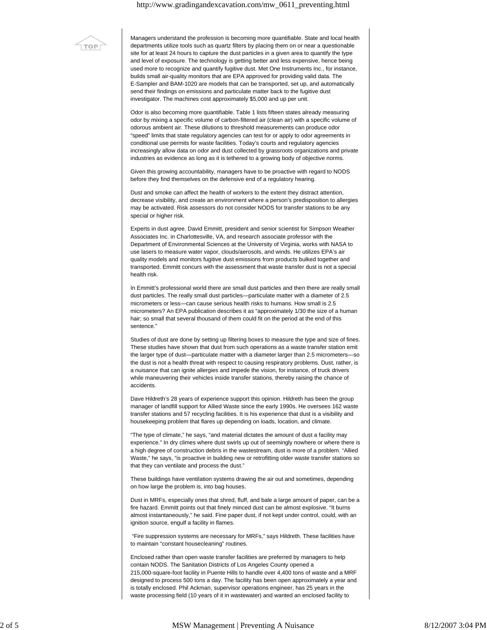# http://www.gradingandexcavation.com/mw\_0611\_preventing.html



Managers understand the profession is becoming more quantifiable. State and local health departments utilize tools such as quartz filters by placing them on or near a questionable site for at least 24 hours to capture the dust particles in a given area to quantify the type and level of exposure. The technology is getting better and less expensive, hence being used more to recognize and quantify fugitive dust. Met One Instruments Inc., for instance, builds small air-quality monitors that are EPA approved for providing valid data. The E-Sampler and BAM-1020 are models that can be transported, set up, and automatically send their findings on emissions and particulate matter back to the fugitive dust investigator. The machines cost approximately \$5,000 and up per unit.

Odor is also becoming more quantifiable. Table 1 lists fifteen states already measuring odor by mixing a specific volume of carbon-filtered air (clean air) with a specific volume of odorous ambient air. These dilutions to threshold measurements can produce odor "speed" limits that state regulatory agencies can test for or apply to odor agreements in conditional use permits for waste facilities. Today's courts and regulatory agencies increasingly allow data on odor and dust collected by grassroots organizations and private industries as evidence as long as it is tethered to a growing body of objective norms.

Given this growing accountability, managers have to be proactive with regard to NODS before they find themselves on the defensive end of a regulatory hearing.

Dust and smoke can affect the health of workers to the extent they distract attention, decrease visibility, and create an environment where a person's predisposition to allergies may be activated. Risk assessors do not consider NODS for transfer stations to be any special or higher risk.

Experts in dust agree. David Emmitt, president and senior scientist for Simpson Weather Associates Inc. in Charlottesville, VA, and research associate professor with the Department of Environmental Sciences at the University of Virginia, works with NASA to use lasers to measure water vapor, clouds/aerosols, and winds. He utilizes EPA's air quality models and monitors fugitive dust emissions from products bulked together and transported. Emmitt concurs with the assessment that waste transfer dust is not a special health risk.

In Emmitt's professional world there are small dust particles and then there are really small dust particles. The really small dust particles—particulate matter with a diameter of 2.5 micrometers or less—can cause serious health risks to humans. How small is 2.5 micrometers? An EPA publication describes it as "approximately 1/30 the size of a human hair; so small that several thousand of them could fit on the period at the end of this sentence."

Studies of dust are done by setting up filtering boxes to measure the type and size of fines. These studies have shown that dust from such operations as a waste transfer station emit the larger type of dust—particulate matter with a diameter larger than 2.5 micrometers—so the dust is not a health threat with respect to causing respiratory problems. Dust, rather, is a nuisance that can ignite allergies and impede the vision, for instance, of truck drivers while maneuvering their vehicles inside transfer stations, thereby raising the chance of accidents.

Dave Hildreth's 28 years of experience support this opinion. Hildreth has been the group manager of landfill support for Allied Waste since the early 1990s. He oversees 162 waste transfer stations and 57 recycling facilities. It is his experience that dust is a visibility and housekeeping problem that flares up depending on loads, location, and climate.

"The type of climate," he says, "and material dictates the amount of dust a facility may experience." In dry climes where dust swirls up out of seemingly nowhere or where there is a high degree of construction debris in the wastestream, dust is more of a problem. "Allied Waste," he says, "is proactive in building new or retrofitting older waste transfer stations so that they can ventilate and process the dust."

These buildings have ventilation systems drawing the air out and sometimes, depending on how large the problem is, into bag houses.

Dust in MRFs, especially ones that shred, fluff, and bale a large amount of paper, can be a fire hazard. Emmitt points out that finely minced dust can be almost explosive. "It burns almost instantaneously," he said. Fine paper dust, if not kept under control, could, with an ignition source, engulf a facility in flames.

 "Fire suppression systems are necessary for MRFs," says Hildreth. These facilities have to maintain "constant housecleaning" routines.

Enclosed rather than open waste transfer facilities are preferred by managers to help contain NODS. The Sanitation Districts of Los Angeles County opened a 215,000-square-foot facility in Puente Hills to handle over 4,400 tons of waste and a MRF designed to process 500 tons a day. The facility has been open approximately a year and is totally enclosed. Phil Ackman, supervisor operations engineer, has 25 years in the waste processing field (10 years of it in wastewater) and wanted an enclosed facility to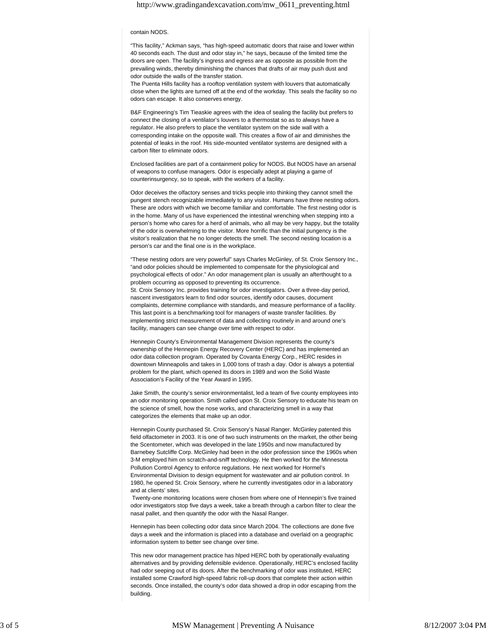# http://www.gradingandexcavation.com/mw\_0611\_preventing.html

### contain NODS.

"This facility," Ackman says, "has high-speed automatic doors that raise and lower within 40 seconds each. The dust and odor stay in," he says, because of the limited time the doors are open. The facility's ingress and egress are as opposite as possible from the prevailing winds, thereby diminishing the chances that drafts of air may push dust and odor outside the walls of the transfer station.

The Puenta Hills facility has a rooftop ventilation system with louvers that automatically close when the lights are turned off at the end of the workday. This seals the facility so no odors can escape. It also conserves energy.

B&F Engineering's Tim Tieaskie agrees with the idea of sealing the facility but prefers to connect the closing of a ventilator's louvers to a thermostat so as to always have a regulator. He also prefers to place the ventilator system on the side wall with a corresponding intake on the opposite wall. This creates a flow of air and diminishes the potential of leaks in the roof. His side-mounted ventilator systems are designed with a carbon filter to eliminate odors.

Enclosed facilities are part of a containment policy for NODS. But NODS have an arsenal of weapons to confuse managers. Odor is especially adept at playing a game of counterinsurgency, so to speak, with the workers of a facility.

Odor deceives the olfactory senses and tricks people into thinking they cannot smell the pungent stench recognizable immediately to any visitor. Humans have three nesting odors. These are odors with which we become familiar and comfortable. The first nesting odor is in the home. Many of us have experienced the intestinal wrenching when stepping into a person's home who cares for a herd of animals, who all may be very happy, but the totality of the odor is overwhelming to the visitor. More horrific than the initial pungency is the visitor's realization that he no longer detects the smell. The second nesting location is a person's car and the final one is in the workplace.

"These nesting odors are very powerful" says Charles McGinley, of St. Croix Sensory Inc., "and odor policies should be implemented to compensate for the physiological and psychological effects of odor." An odor management plan is usually an afterthought to a problem occurring as opposed to preventing its occurrence. St. Croix Sensory Inc. provides training for odor investigators. Over a three-day period, nascent investigators learn to find odor sources, identify odor causes, document complaints, determine compliance with standards, and measure performance of a facility. This last point is a benchmarking tool for managers of waste transfer facilities. By implementing strict measurement of data and collecting routinely in and around one's facility, managers can see change over time with respect to odor.

Hennepin County's Environmental Management Division represents the county's ownership of the Hennepin Energy Recovery Center (HERC) and has implemented an odor data collection program. Operated by Covanta Energy Corp., HERC resides in downtown Minneapolis and takes in 1,000 tons of trash a day. Odor is always a potential problem for the plant, which opened its doors in 1989 and won the Solid Waste Association's Facility of the Year Award in 1995.

Jake Smith, the county's senior environmentalist, led a team of five county employees into an odor monitoring operation. Smith called upon St. Croix Sensory to educate his team on the science of smell, how the nose works, and characterizing smell in a way that categorizes the elements that make up an odor.

Hennepin County purchased St. Croix Sensory's Nasal Ranger. McGinley patented this field olfactometer in 2003. It is one of two such instruments on the market, the other being the Scentometer, which was developed in the late 1950s and now manufactured by Barnebey Sutcliffe Corp. McGinley had been in the odor profession since the 1960s when 3-M employed him on scratch-and-sniff technology. He then worked for the Minnesota Pollution Control Agency to enforce regulations. He next worked for Hormel's Environmental Division to design equipment for wastewater and air pollution control. In 1980, he opened St. Croix Sensory, where he currently investigates odor in a laboratory and at clients' sites.

 Twenty-one monitoring locations were chosen from where one of Hennepin's five trained odor investigators stop five days a week, take a breath through a carbon filter to clear the nasal pallet, and then quantify the odor with the Nasal Ranger.

Hennepin has been collecting odor data since March 2004. The collections are done five days a week and the information is placed into a database and overlaid on a geographic information system to better see change over time.

This new odor management practice has hlped HERC both by operationally evaluating alternatives and by providing defensible evidence. Operationally, HERC's enclosed facility had odor seeping out of its doors. After the benchmarking of odor was instituted, HERC installed some Crawford high-speed fabric roll-up doors that complete their action within seconds. Once installed, the county's odor data showed a drop in odor escaping from the building.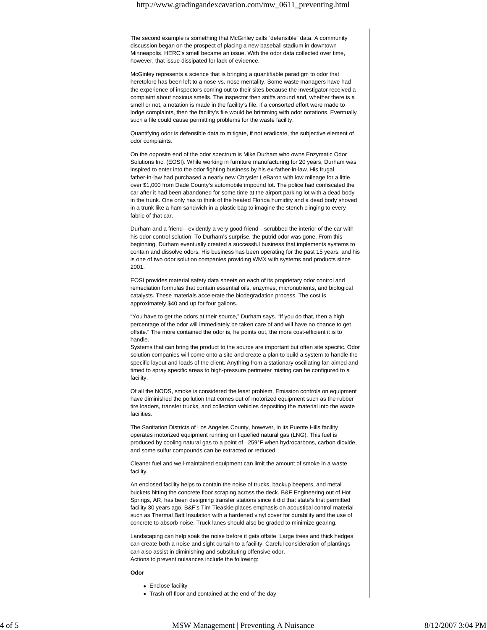The second example is something that McGinley calls "defensible" data. A community discussion began on the prospect of placing a new baseball stadium in downtown Minneapolis. HERC's smell became an issue. With the odor data collected over time, however, that issue dissipated for lack of evidence.

McGinley represents a science that is bringing a quantifiable paradigm to odor that heretofore has been left to a nose-vs.-nose mentality. Some waste managers have had the experience of inspectors coming out to their sites because the investigator received a complaint about noxious smells. The inspector then sniffs around and, whether there is a smell or not, a notation is made in the facility's file. If a consorted effort were made to lodge complaints, then the facility's file would be brimming with odor notations. Eventually such a file could cause permitting problems for the waste facility.

Quantifying odor is defensible data to mitigate, if not eradicate, the subjective element of odor complaints.

On the opposite end of the odor spectrum is Mike Durham who owns Enzymatic Odor Solutions Inc. (EOSI). While working in furniture manufacturing for 20 years, Durham was inspired to enter into the odor fighting business by his ex-father-in-law. His frugal father-in-law had purchased a nearly new Chrysler LeBaron with low mileage for a little over \$1,000 from Dade County's automobile impound lot. The police had confiscated the car after it had been abandoned for some time at the airport parking lot with a dead body in the trunk. One only has to think of the heated Florida humidity and a dead body shoved in a trunk like a ham sandwich in a plastic bag to imagine the stench clinging to every fabric of that car.

Durham and a friend—evidently a very good friend—scrubbed the interior of the car with his odor-control solution. To Durham's surprise, the putrid odor was gone. From this beginning, Durham eventually created a successful business that implements systems to contain and dissolve odors. His business has been operating for the past 15 years, and his is one of two odor solution companies providing WMX with systems and products since 2001.

EOSI provides material safety data sheets on each of its proprietary odor control and remediation formulas that contain essential oils, enzymes, micronutrients, and biological catalysts. These materials accelerate the biodegradation process. The cost is approximately \$40 and up for four gallons.

"You have to get the odors at their source," Durham says. "If you do that, then a high percentage of the odor will immediately be taken care of and will have no chance to get offsite." The more contained the odor is, he points out, the more cost-efficient it is to handle.

Systems that can bring the product to the source are important but often site specific. Odor solution companies will come onto a site and create a plan to build a system to handle the specific layout and loads of the client. Anything from a stationary oscillating fan aimed and timed to spray specific areas to high-pressure perimeter misting can be configured to a facility.

Of all the NODS, smoke is considered the least problem. Emission controls on equipment have diminished the pollution that comes out of motorized equipment such as the rubber tire loaders, transfer trucks, and collection vehicles depositing the material into the waste facilities.

The Sanitation Districts of Los Angeles County, however, in its Puente Hills facility operates motorized equipment running on liquefied natural gas (LNG). This fuel is produced by cooling natural gas to a point of –259°F when hydrocarbons, carbon dioxide, and some sulfur compounds can be extracted or reduced.

Cleaner fuel and well-maintained equipment can limit the amount of smoke in a waste facility.

An enclosed facility helps to contain the noise of trucks, backup beepers, and metal buckets hitting the concrete floor scraping across the deck. B&F Engineering out of Hot Springs, AR, has been designing transfer stations since it did that state's first permitted facility 30 years ago. B&F's Tim Tieaskie places emphasis on acoustical control material such as Thermal Batt Insulation with a hardened vinyl cover for durability and the use of concrete to absorb noise. Truck lanes should also be graded to minimize gearing.

Landscaping can help soak the noise before it gets offsite. Large trees and thick hedges can create both a noise and sight curtain to a facility. Careful consideration of plantings can also assist in diminishing and substituting offensive odor. Actions to prevent nuisances include the following:

#### **Odor**

- Enclose facility
- Trash off floor and contained at the end of the day